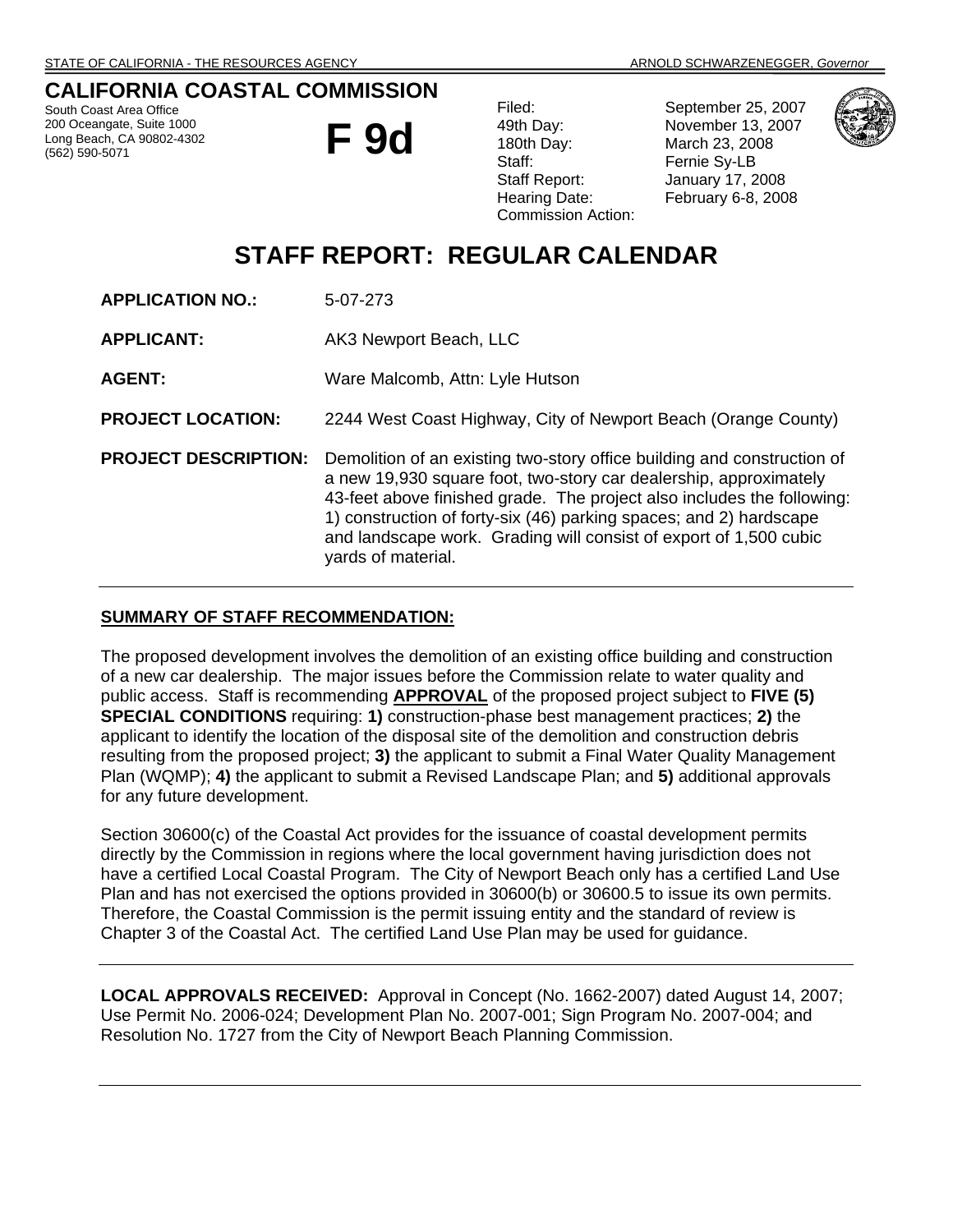# **CALIFORNIA COASTAL COMMISSION**

South Coast Area Office 200 Oceangate, Suite 1000 Long Beach, CA 90802-4302 (562) 590-5071



Staff: Fernie Sy-LB Commission Action:

Filed: September 25, 2007 49th Day: November 13, 2007 180th Day: March 23, 2008 Staff Report: January 17, 2008 Hearing Date: February 6-8, 2008



# **STAFF REPORT: REGULAR CALENDAR**

|  | <b>APPLICATION NO.:</b> |  | 5-07-273 |
|--|-------------------------|--|----------|
|--|-------------------------|--|----------|

**APPLICANT:** AK3 Newport Beach, LLC

**AGENT:** Ware Malcomb, Attn: Lyle Hutson

**PROJECT LOCATION:** 2244 West Coast Highway, City of Newport Beach (Orange County)

**PROJECT DESCRIPTION:** Demolition of an existing two-story office building and construction of a new 19,930 square foot, two-story car dealership, approximately 43-feet above finished grade. The project also includes the following: 1) construction of forty-six (46) parking spaces; and 2) hardscape and landscape work. Grading will consist of export of 1,500 cubic yards of material.

### **SUMMARY OF STAFF RECOMMENDATION:**

The proposed development involves the demolition of an existing office building and construction of a new car dealership. The major issues before the Commission relate to water quality and public access. Staff is recommending **APPROVAL** of the proposed project subject to **FIVE (5) SPECIAL CONDITIONS** requiring: **1)** construction-phase best management practices; **2)** the applicant to identify the location of the disposal site of the demolition and construction debris resulting from the proposed project; **3)** the applicant to submit a Final Water Quality Management Plan (WQMP); **4)** the applicant to submit a Revised Landscape Plan; and **5)** additional approvals for any future development.

Section 30600(c) of the Coastal Act provides for the issuance of coastal development permits directly by the Commission in regions where the local government having jurisdiction does not have a certified Local Coastal Program. The City of Newport Beach only has a certified Land Use Plan and has not exercised the options provided in 30600(b) or 30600.5 to issue its own permits. Therefore, the Coastal Commission is the permit issuing entity and the standard of review is Chapter 3 of the Coastal Act. The certified Land Use Plan may be used for guidance.

**LOCAL APPROVALS RECEIVED:** Approval in Concept (No. 1662-2007) dated August 14, 2007; Use Permit No. 2006-024; Development Plan No. 2007-001; Sign Program No. 2007-004; and Resolution No. 1727 from the City of Newport Beach Planning Commission.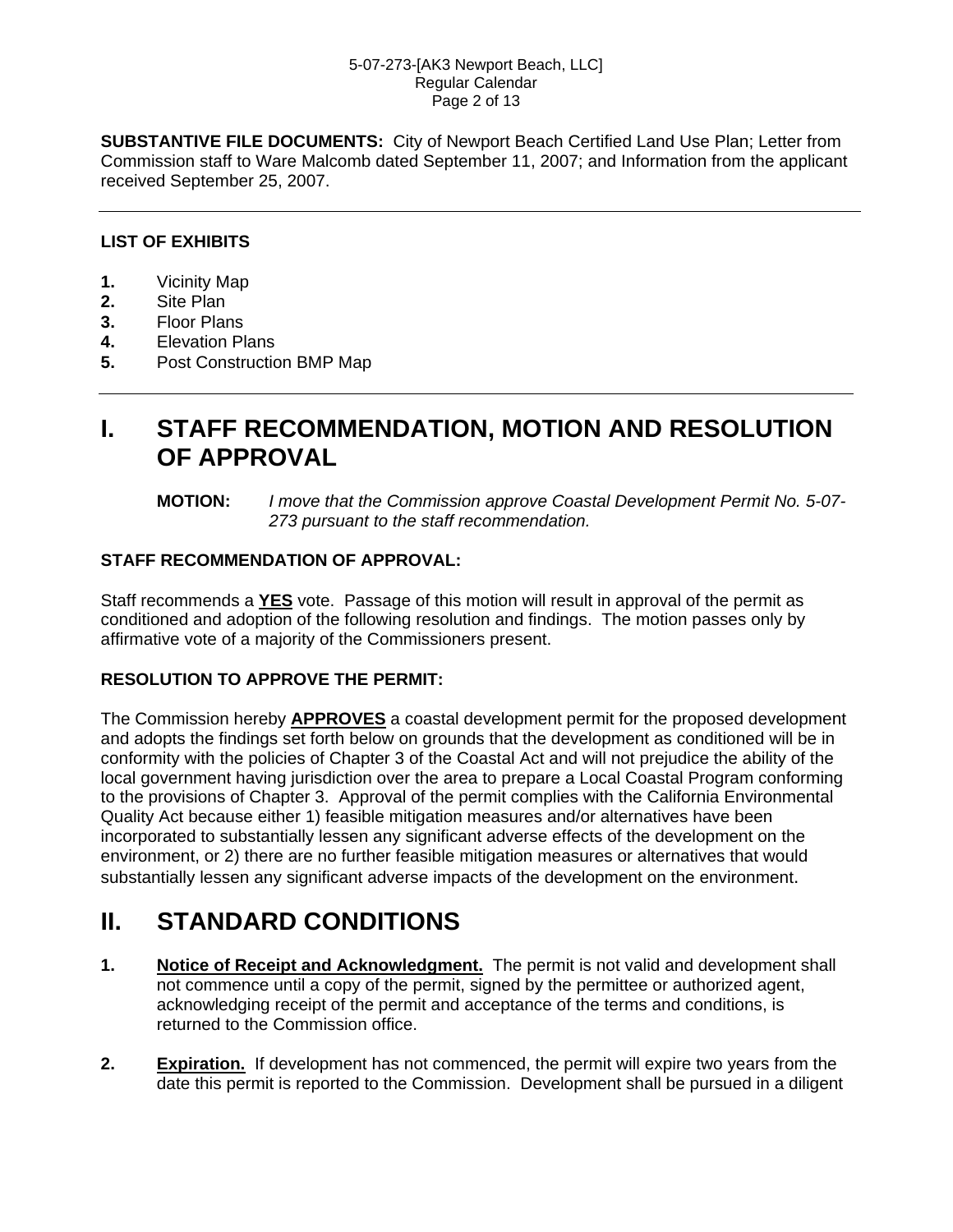### 5-07-273-[AK3 Newport Beach, LLC] Regular Calendar Page 2 of 13

**SUBSTANTIVE FILE DOCUMENTS:** City of Newport Beach Certified Land Use Plan; Letter from Commission staff to Ware Malcomb dated September 11, 2007; and Information from the applicant received September 25, 2007.

## **LIST OF EXHIBITS**

- **1.** Vicinity Map
- **2.** Site Plan
- **3.** Floor Plans
- **4.** Elevation Plans
- **5.** Post Construction BMP Map

# **I. STAFF RECOMMENDATION, MOTION AND RESOLUTION OF APPROVAL**

### **MOTION:** *I move that the Commission approve Coastal Development Permit No. 5-07- 273 pursuant to the staff recommendation.*

## **STAFF RECOMMENDATION OF APPROVAL:**

Staff recommends a **YES** vote. Passage of this motion will result in approval of the permit as conditioned and adoption of the following resolution and findings. The motion passes only by affirmative vote of a majority of the Commissioners present.

## **RESOLUTION TO APPROVE THE PERMIT:**

The Commission hereby **APPROVES** a coastal development permit for the proposed development and adopts the findings set forth below on grounds that the development as conditioned will be in conformity with the policies of Chapter 3 of the Coastal Act and will not prejudice the ability of the local government having jurisdiction over the area to prepare a Local Coastal Program conforming to the provisions of Chapter 3. Approval of the permit complies with the California Environmental Quality Act because either 1) feasible mitigation measures and/or alternatives have been incorporated to substantially lessen any significant adverse effects of the development on the environment, or 2) there are no further feasible mitigation measures or alternatives that would substantially lessen any significant adverse impacts of the development on the environment.

# **II. STANDARD CONDITIONS**

- **1.** Notice of Receipt and Acknowledgment. The permit is not valid and development shall not commence until a copy of the permit, signed by the permittee or authorized agent, acknowledging receipt of the permit and acceptance of the terms and conditions, is returned to the Commission office.
- **2. Expiration.** If development has not commenced, the permit will expire two years from the date this permit is reported to the Commission. Development shall be pursued in a diligent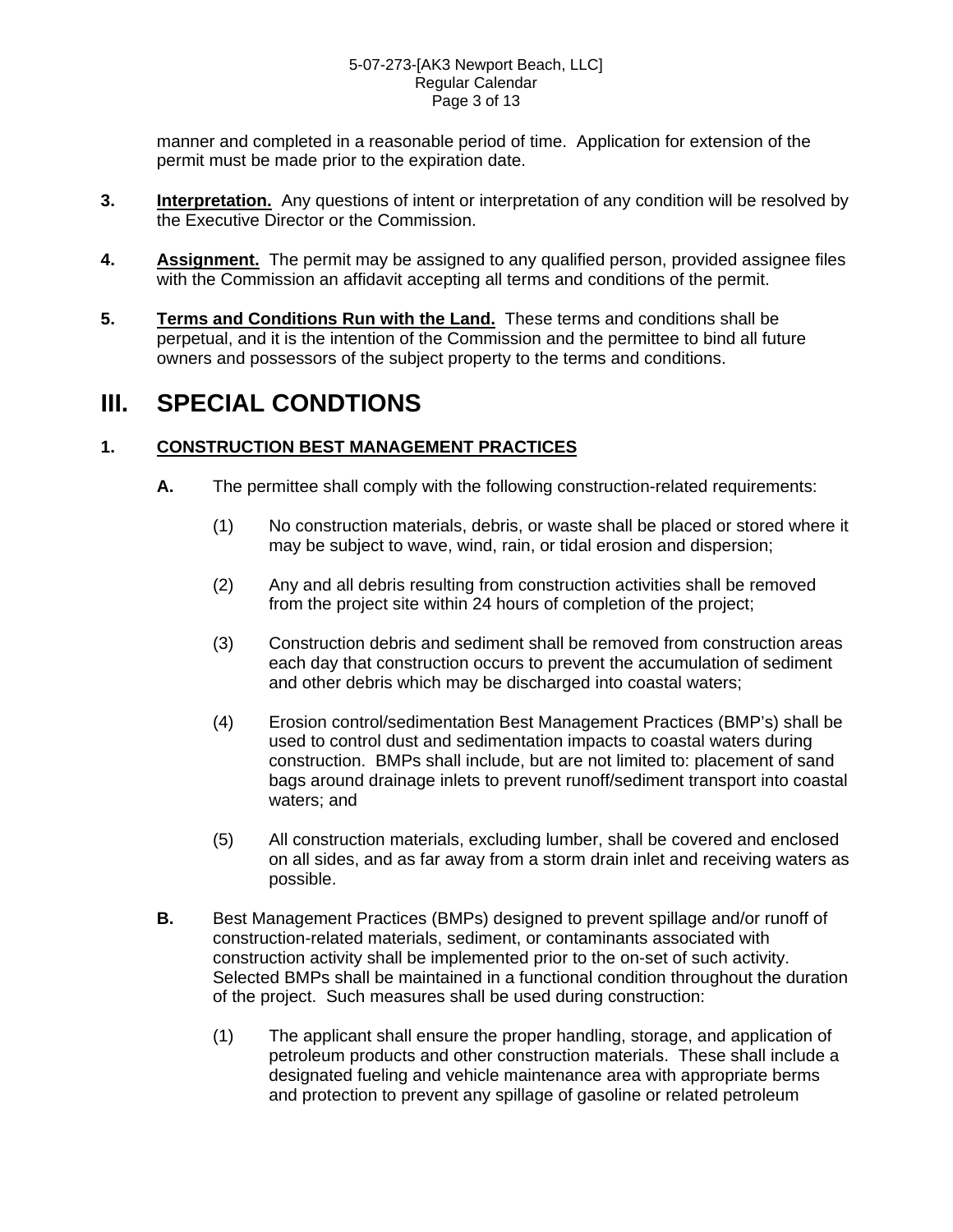### 5-07-273-[AK3 Newport Beach, LLC] Regular Calendar Page 3 of 13

manner and completed in a reasonable period of time. Application for extension of the permit must be made prior to the expiration date.

- **3. Interpretation.** Any questions of intent or interpretation of any condition will be resolved by the Executive Director or the Commission.
- **4. Assignment.** The permit may be assigned to any qualified person, provided assignee files with the Commission an affidavit accepting all terms and conditions of the permit.
- **5. Terms and Conditions Run with the Land.** These terms and conditions shall be perpetual, and it is the intention of the Commission and the permittee to bind all future owners and possessors of the subject property to the terms and conditions.

# **III. SPECIAL CONDTIONS**

# **1. CONSTRUCTION BEST MANAGEMENT PRACTICES**

- **A.** The permittee shall comply with the following construction-related requirements:
	- (1) No construction materials, debris, or waste shall be placed or stored where it may be subject to wave, wind, rain, or tidal erosion and dispersion;
	- (2) Any and all debris resulting from construction activities shall be removed from the project site within 24 hours of completion of the project;
	- (3) Construction debris and sediment shall be removed from construction areas each day that construction occurs to prevent the accumulation of sediment and other debris which may be discharged into coastal waters;
	- (4) Erosion control/sedimentation Best Management Practices (BMP's) shall be used to control dust and sedimentation impacts to coastal waters during construction. BMPs shall include, but are not limited to: placement of sand bags around drainage inlets to prevent runoff/sediment transport into coastal waters; and
	- (5) All construction materials, excluding lumber, shall be covered and enclosed on all sides, and as far away from a storm drain inlet and receiving waters as possible.
- **B.** Best Management Practices (BMPs) designed to prevent spillage and/or runoff of construction-related materials, sediment, or contaminants associated with construction activity shall be implemented prior to the on-set of such activity. Selected BMPs shall be maintained in a functional condition throughout the duration of the project. Such measures shall be used during construction:
	- (1) The applicant shall ensure the proper handling, storage, and application of petroleum products and other construction materials. These shall include a designated fueling and vehicle maintenance area with appropriate berms and protection to prevent any spillage of gasoline or related petroleum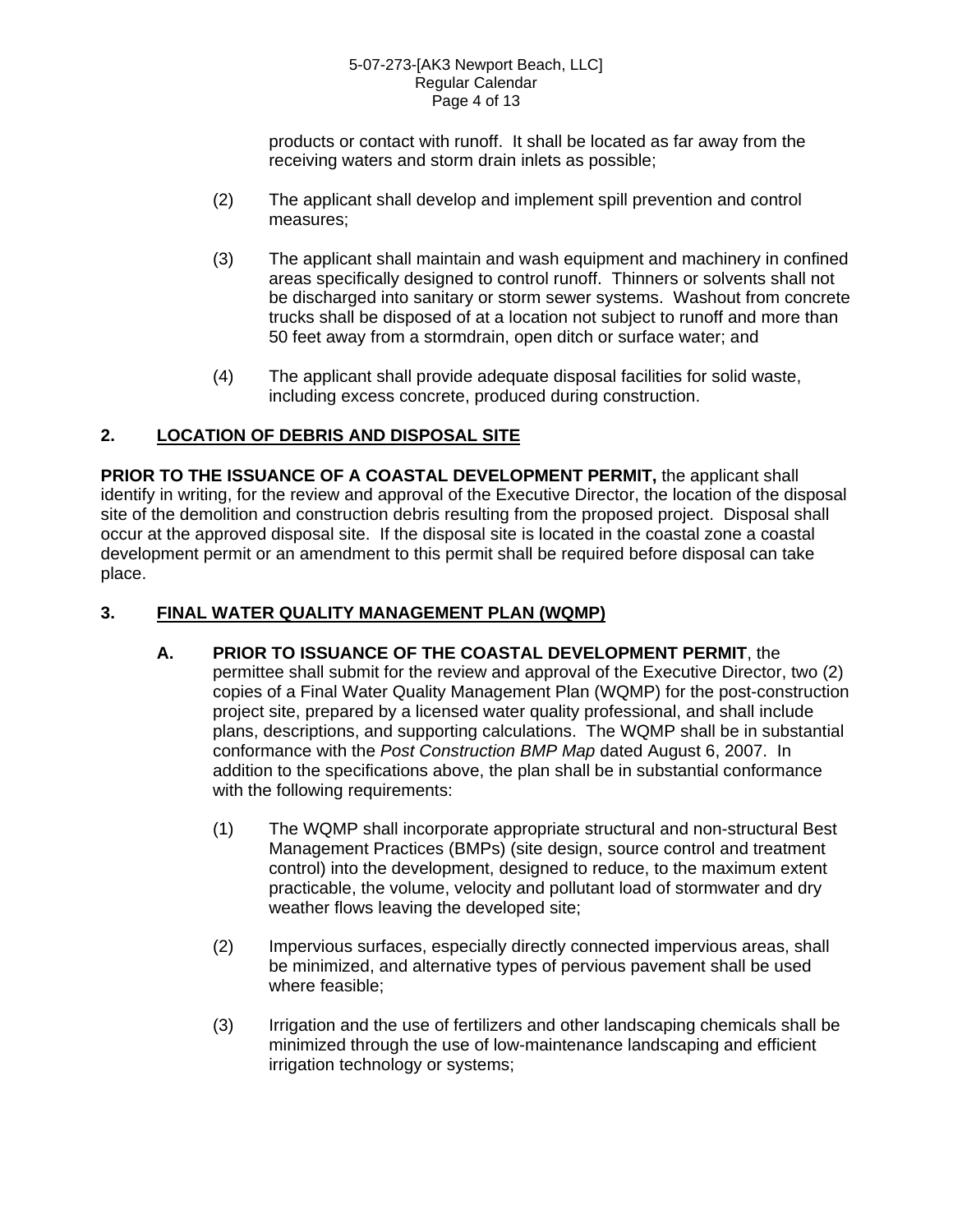### 5-07-273-[AK3 Newport Beach, LLC] Regular Calendar Page 4 of 13

products or contact with runoff. It shall be located as far away from the receiving waters and storm drain inlets as possible;

- (2) The applicant shall develop and implement spill prevention and control measures;
- (3) The applicant shall maintain and wash equipment and machinery in confined areas specifically designed to control runoff. Thinners or solvents shall not be discharged into sanitary or storm sewer systems. Washout from concrete trucks shall be disposed of at a location not subject to runoff and more than 50 feet away from a stormdrain, open ditch or surface water; and
- (4) The applicant shall provide adequate disposal facilities for solid waste, including excess concrete, produced during construction.

# **2. LOCATION OF DEBRIS AND DISPOSAL SITE**

**PRIOR TO THE ISSUANCE OF A COASTAL DEVELOPMENT PERMIT,** the applicant shall identify in writing, for the review and approval of the Executive Director, the location of the disposal site of the demolition and construction debris resulting from the proposed project. Disposal shall occur at the approved disposal site. If the disposal site is located in the coastal zone a coastal development permit or an amendment to this permit shall be required before disposal can take place.

## **3. FINAL WATER QUALITY MANAGEMENT PLAN (WQMP)**

- **A. PRIOR TO ISSUANCE OF THE COASTAL DEVELOPMENT PERMIT**, the permittee shall submit for the review and approval of the Executive Director, two (2) copies of a Final Water Quality Management Plan (WQMP) for the post-construction project site, prepared by a licensed water quality professional, and shall include plans, descriptions, and supporting calculations. The WQMP shall be in substantial conformance with the *Post Construction BMP Map* dated August 6, 2007. In addition to the specifications above, the plan shall be in substantial conformance with the following requirements:
	- (1) The WQMP shall incorporate appropriate structural and non-structural Best Management Practices (BMPs) (site design, source control and treatment control) into the development, designed to reduce, to the maximum extent practicable, the volume, velocity and pollutant load of stormwater and dry weather flows leaving the developed site;
	- (2) Impervious surfaces, especially directly connected impervious areas, shall be minimized, and alternative types of pervious pavement shall be used where feasible;
	- (3) Irrigation and the use of fertilizers and other landscaping chemicals shall be minimized through the use of low-maintenance landscaping and efficient irrigation technology or systems;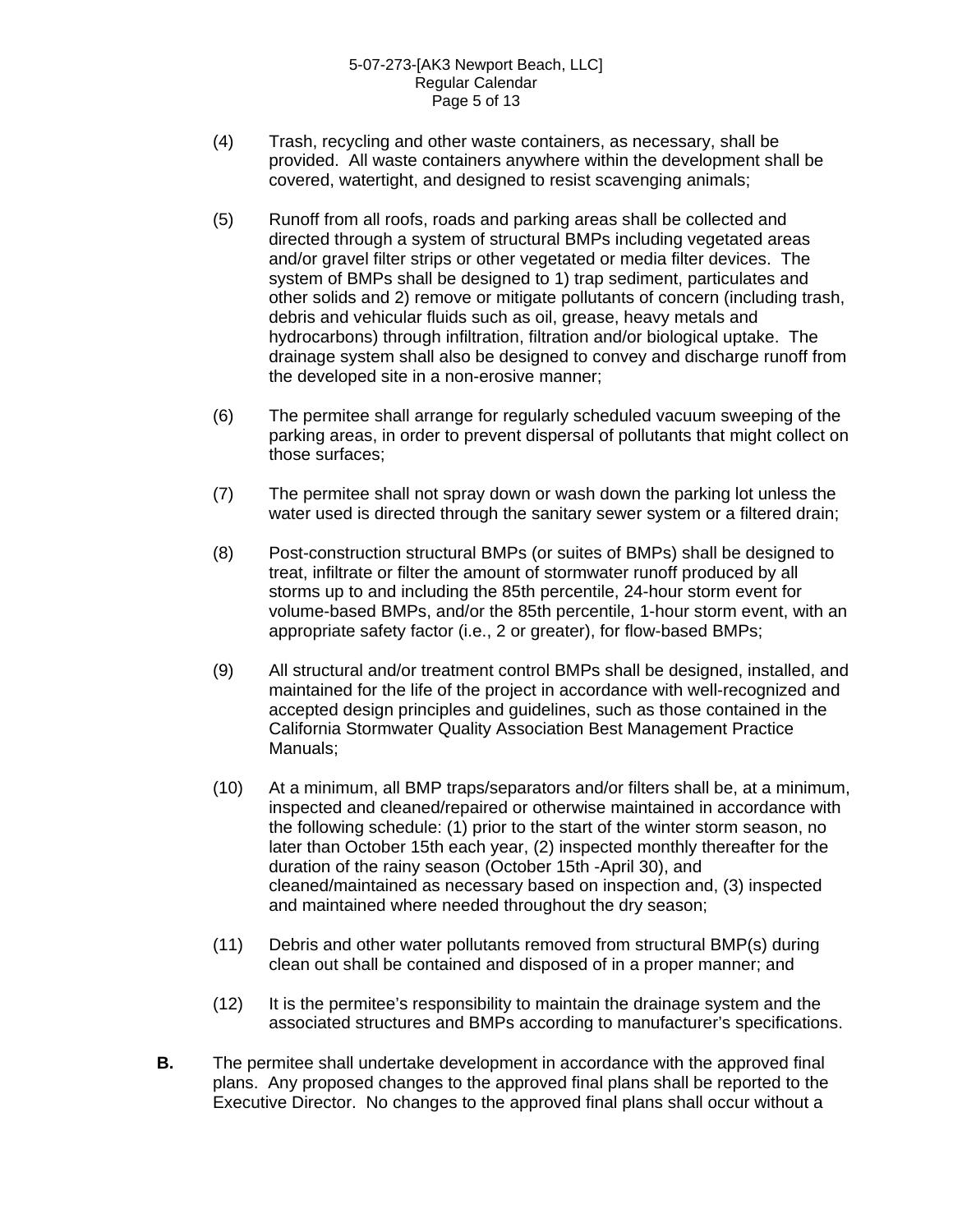- (4) Trash, recycling and other waste containers, as necessary, shall be provided. All waste containers anywhere within the development shall be covered, watertight, and designed to resist scavenging animals;
- (5) Runoff from all roofs, roads and parking areas shall be collected and directed through a system of structural BMPs including vegetated areas and/or gravel filter strips or other vegetated or media filter devices. The system of BMPs shall be designed to 1) trap sediment, particulates and other solids and 2) remove or mitigate pollutants of concern (including trash, debris and vehicular fluids such as oil, grease, heavy metals and hydrocarbons) through infiltration, filtration and/or biological uptake. The drainage system shall also be designed to convey and discharge runoff from the developed site in a non-erosive manner;
- (6) The permitee shall arrange for regularly scheduled vacuum sweeping of the parking areas, in order to prevent dispersal of pollutants that might collect on those surfaces;
- (7) The permitee shall not spray down or wash down the parking lot unless the water used is directed through the sanitary sewer system or a filtered drain;
- (8) Post-construction structural BMPs (or suites of BMPs) shall be designed to treat, infiltrate or filter the amount of stormwater runoff produced by all storms up to and including the 85th percentile, 24-hour storm event for volume-based BMPs, and/or the 85th percentile, 1-hour storm event, with an appropriate safety factor (i.e., 2 or greater), for flow-based BMPs;
- (9) All structural and/or treatment control BMPs shall be designed, installed, and maintained for the life of the project in accordance with well-recognized and accepted design principles and guidelines, such as those contained in the California Stormwater Quality Association Best Management Practice Manuals;
- (10) At a minimum, all BMP traps/separators and/or filters shall be, at a minimum, inspected and cleaned/repaired or otherwise maintained in accordance with the following schedule: (1) prior to the start of the winter storm season, no later than October 15th each year, (2) inspected monthly thereafter for the duration of the rainy season (October 15th -April 30), and cleaned/maintained as necessary based on inspection and, (3) inspected and maintained where needed throughout the dry season;
- (11) Debris and other water pollutants removed from structural BMP(s) during clean out shall be contained and disposed of in a proper manner; and
- (12) It is the permitee's responsibility to maintain the drainage system and the associated structures and BMPs according to manufacturer's specifications.
- **B.** The permitee shall undertake development in accordance with the approved final plans. Any proposed changes to the approved final plans shall be reported to the Executive Director. No changes to the approved final plans shall occur without a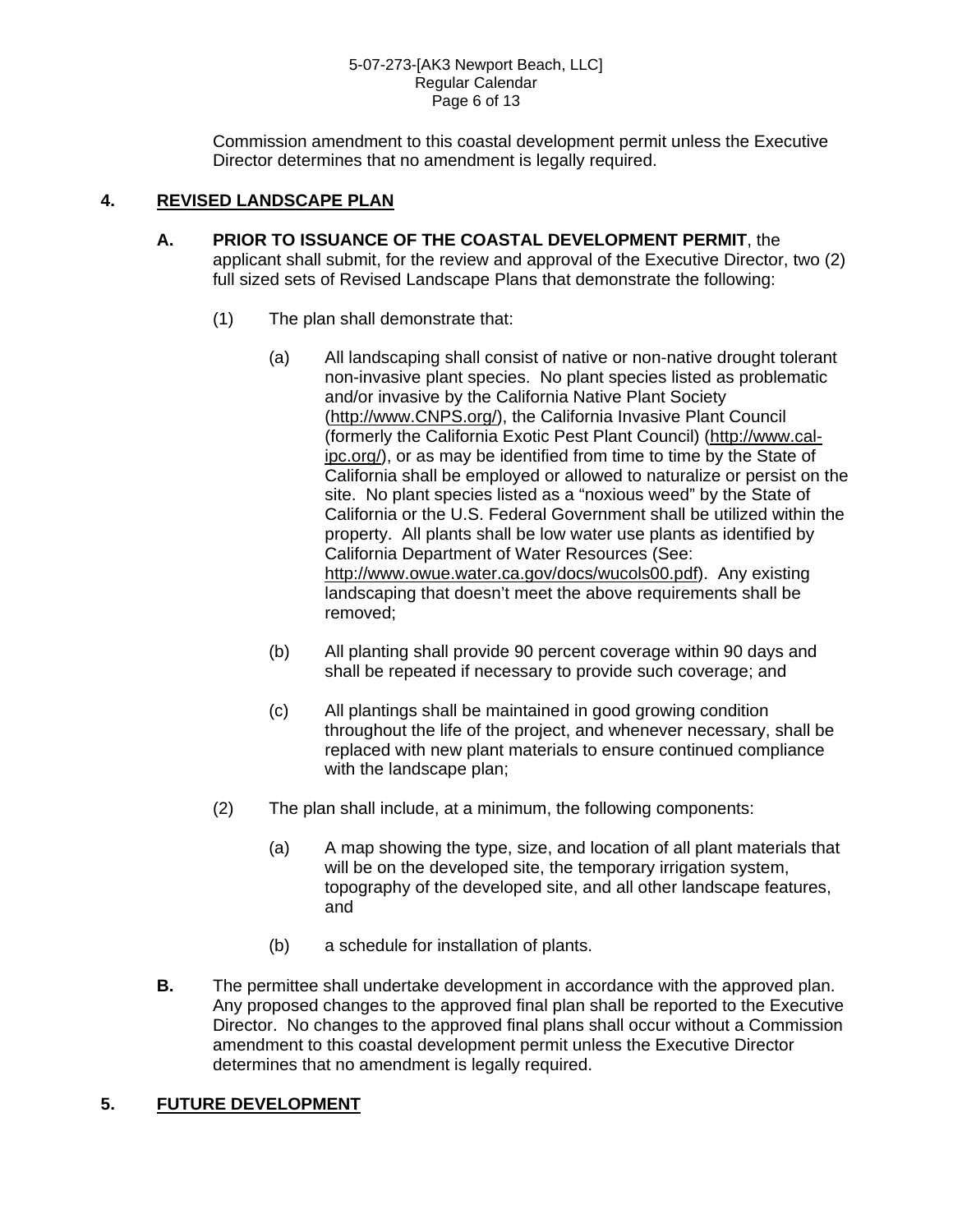Commission amendment to this coastal development permit unless the Executive Director determines that no amendment is legally required.

## **4. REVISED LANDSCAPE PLAN**

- **A. PRIOR TO ISSUANCE OF THE COASTAL DEVELOPMENT PERMIT**, the applicant shall submit, for the review and approval of the Executive Director, two (2) full sized sets of Revised Landscape Plans that demonstrate the following:
	- (1) The plan shall demonstrate that:
		- (a) All landscaping shall consist of native or non-native drought tolerant non-invasive plant species. No plant species listed as problematic and/or invasive by the California Native Plant Society [\(http://www.CNPS.org/](http://www.cnps.org/)), the California Invasive Plant Council (formerly the California Exotic Pest Plant Council) [\(http://www.cal](http://www.cal-ipc.org/)[ipc.org/\)](http://www.cal-ipc.org/), or as may be identified from time to time by the State of California shall be employed or allowed to naturalize or persist on the site. No plant species listed as a "noxious weed" by the State of California or the U.S. Federal Government shall be utilized within the property. All plants shall be low water use plants as identified by California Department of Water Resources (See: <http://www.owue.water.ca.gov/docs/wucols00.pdf>). Any existing landscaping that doesn't meet the above requirements shall be removed;
		- (b) All planting shall provide 90 percent coverage within 90 days and shall be repeated if necessary to provide such coverage; and
		- (c) All plantings shall be maintained in good growing condition throughout the life of the project, and whenever necessary, shall be replaced with new plant materials to ensure continued compliance with the landscape plan;
	- (2) The plan shall include, at a minimum, the following components:
		- (a) A map showing the type, size, and location of all plant materials that will be on the developed site, the temporary irrigation system, topography of the developed site, and all other landscape features, and
		- (b) a schedule for installation of plants.
- **B.** The permittee shall undertake development in accordance with the approved plan. Any proposed changes to the approved final plan shall be reported to the Executive Director. No changes to the approved final plans shall occur without a Commission amendment to this coastal development permit unless the Executive Director determines that no amendment is legally required.

## **5. FUTURE DEVELOPMENT**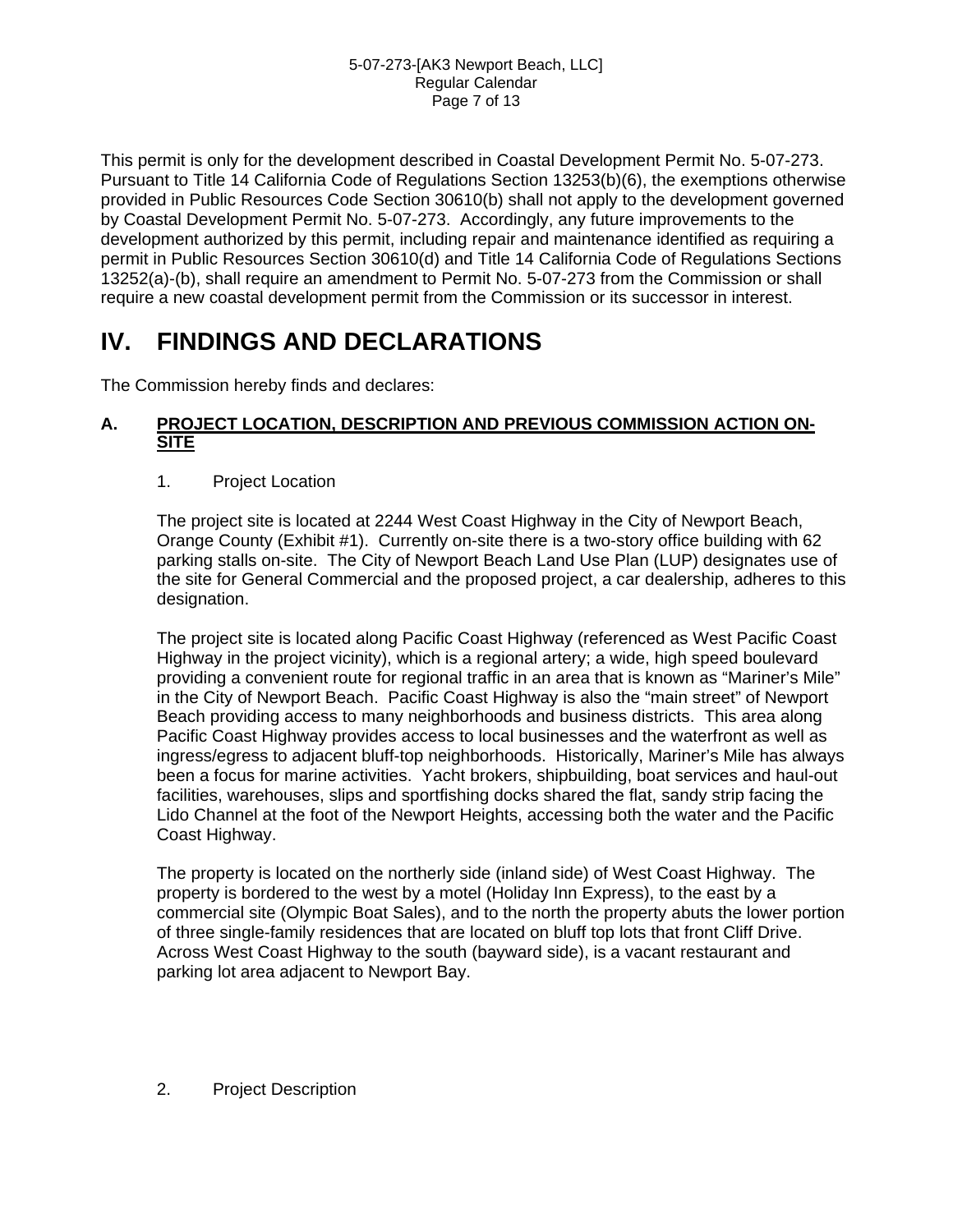This permit is only for the development described in Coastal Development Permit No. 5-07-273. Pursuant to Title 14 California Code of Regulations Section 13253(b)(6), the exemptions otherwise provided in Public Resources Code Section 30610(b) shall not apply to the development governed by Coastal Development Permit No. 5-07-273. Accordingly, any future improvements to the development authorized by this permit, including repair and maintenance identified as requiring a permit in Public Resources Section 30610(d) and Title 14 California Code of Regulations Sections 13252(a)-(b), shall require an amendment to Permit No. 5-07-273 from the Commission or shall require a new coastal development permit from the Commission or its successor in interest.

# **IV. FINDINGS AND DECLARATIONS**

The Commission hereby finds and declares:

## **A. PROJECT LOCATION, DESCRIPTION AND PREVIOUS COMMISSION ACTION ON-SITE**

1. Project Location

The project site is located at 2244 West Coast Highway in the City of Newport Beach, Orange County (Exhibit #1). Currently on-site there is a two-story office building with 62 parking stalls on-site. The City of Newport Beach Land Use Plan (LUP) designates use of the site for General Commercial and the proposed project, a car dealership, adheres to this designation.

The project site is located along Pacific Coast Highway (referenced as West Pacific Coast Highway in the project vicinity), which is a regional artery; a wide, high speed boulevard providing a convenient route for regional traffic in an area that is known as "Mariner's Mile" in the City of Newport Beach. Pacific Coast Highway is also the "main street" of Newport Beach providing access to many neighborhoods and business districts. This area along Pacific Coast Highway provides access to local businesses and the waterfront as well as ingress/egress to adjacent bluff-top neighborhoods. Historically, Mariner's Mile has always been a focus for marine activities. Yacht brokers, shipbuilding, boat services and haul-out facilities, warehouses, slips and sportfishing docks shared the flat, sandy strip facing the Lido Channel at the foot of the Newport Heights, accessing both the water and the Pacific Coast Highway.

The property is located on the northerly side (inland side) of West Coast Highway. The property is bordered to the west by a motel (Holiday Inn Express), to the east by a commercial site (Olympic Boat Sales), and to the north the property abuts the lower portion of three single-family residences that are located on bluff top lots that front Cliff Drive. Across West Coast Highway to the south (bayward side), is a vacant restaurant and parking lot area adjacent to Newport Bay.

2. Project Description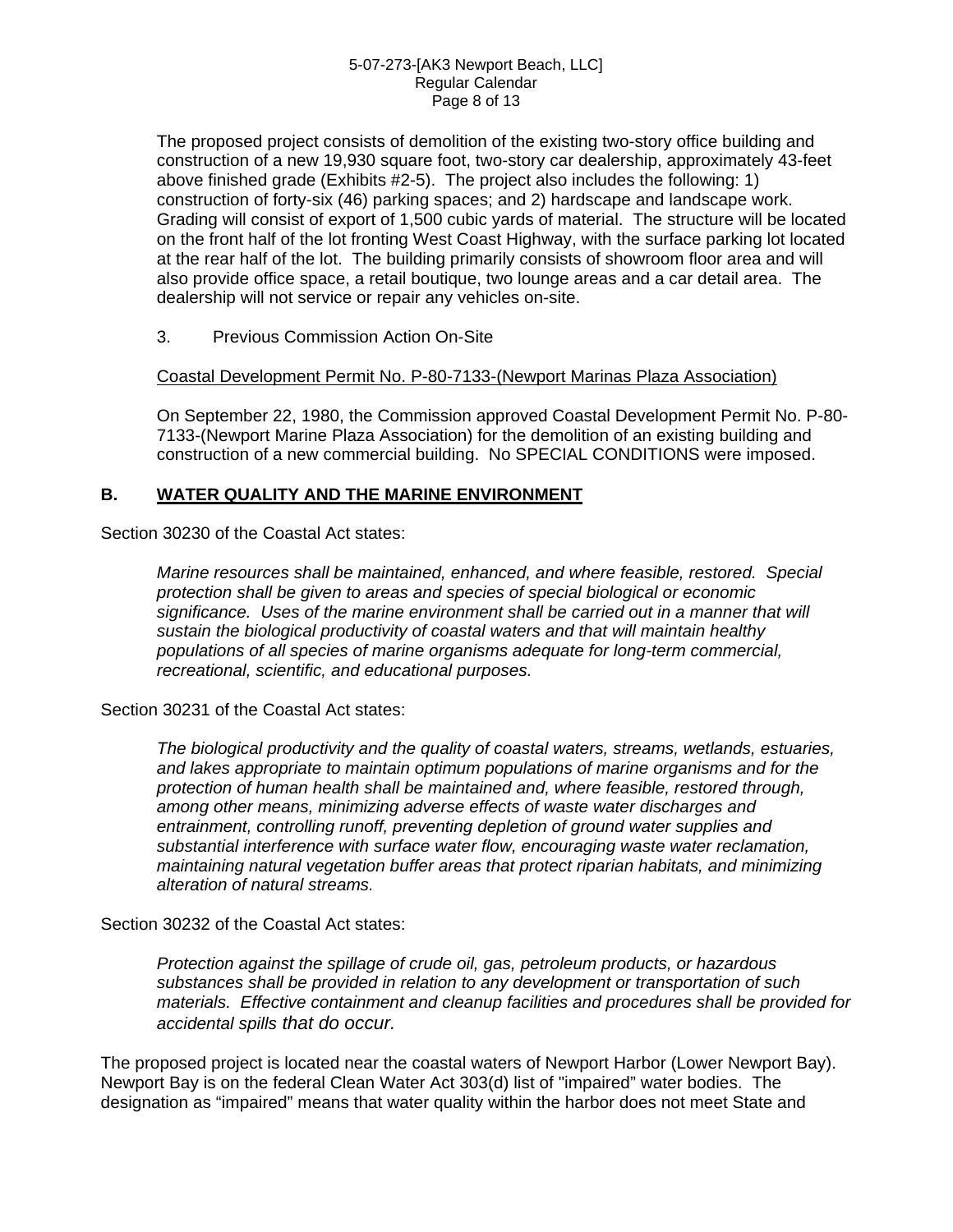The proposed project consists of demolition of the existing two-story office building and construction of a new 19,930 square foot, two-story car dealership, approximately 43-feet above finished grade (Exhibits #2-5). The project also includes the following: 1) construction of forty-six (46) parking spaces; and 2) hardscape and landscape work. Grading will consist of export of 1,500 cubic yards of material. The structure will be located on the front half of the lot fronting West Coast Highway, with the surface parking lot located at the rear half of the lot. The building primarily consists of showroom floor area and will also provide office space, a retail boutique, two lounge areas and a car detail area. The dealership will not service or repair any vehicles on-site.

3. Previous Commission Action On-Site

### Coastal Development Permit No. P-80-7133-(Newport Marinas Plaza Association)

On September 22, 1980, the Commission approved Coastal Development Permit No. P-80- 7133-(Newport Marine Plaza Association) for the demolition of an existing building and construction of a new commercial building. No SPECIAL CONDITIONS were imposed.

## **B. WATER QUALITY AND THE MARINE ENVIRONMENT**

Section 30230 of the Coastal Act states:

*Marine resources shall be maintained, enhanced, and where feasible, restored. Special protection shall be given to areas and species of special biological or economic significance. Uses of the marine environment shall be carried out in a manner that will sustain the biological productivity of coastal waters and that will maintain healthy populations of all species of marine organisms adequate for long-term commercial, recreational, scientific, and educational purposes.* 

Section 30231 of the Coastal Act states:

*The biological productivity and the quality of coastal waters, streams, wetlands, estuaries, and lakes appropriate to maintain optimum populations of marine organisms and for the protection of human health shall be maintained and, where feasible, restored through, among other means, minimizing adverse effects of waste water discharges and entrainment, controlling runoff, preventing depletion of ground water supplies and substantial interference with surface water flow, encouraging waste water reclamation, maintaining natural vegetation buffer areas that protect riparian habitats, and minimizing alteration of natural streams.* 

Section 30232 of the Coastal Act states:

*Protection against the spillage of crude oil, gas, petroleum products, or hazardous substances shall be provided in relation to any development or transportation of such materials. Effective containment and cleanup facilities and procedures shall be provided for accidental spills that do occur.*

The proposed project is located near the coastal waters of Newport Harbor (Lower Newport Bay). Newport Bay is on the federal Clean Water Act 303(d) list of "impaired" water bodies. The designation as "impaired" means that water quality within the harbor does not meet State and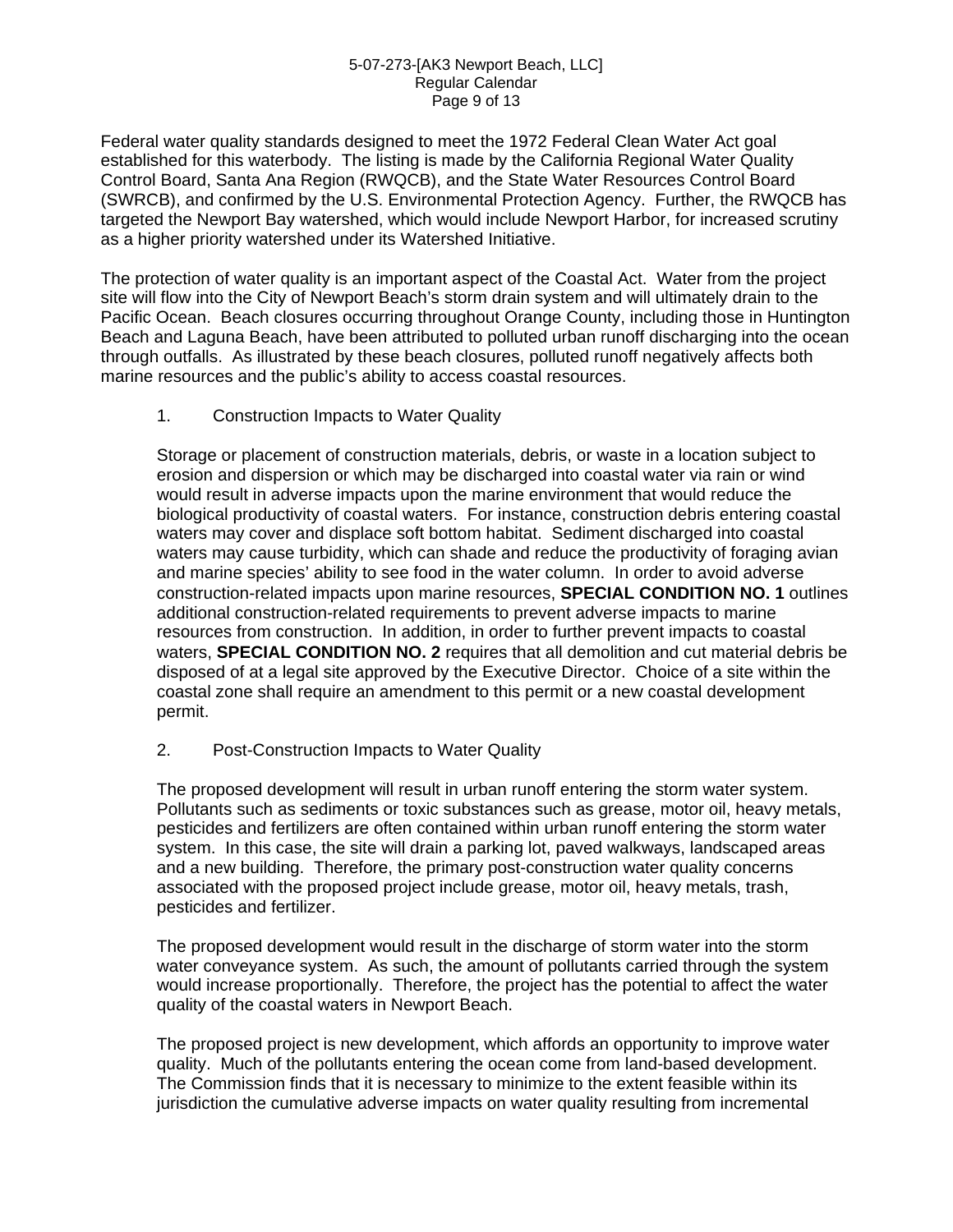### 5-07-273-[AK3 Newport Beach, LLC] Regular Calendar Page 9 of 13

Federal water quality standards designed to meet the 1972 Federal Clean Water Act goal established for this waterbody. The listing is made by the California Regional Water Quality Control Board, Santa Ana Region (RWQCB), and the State Water Resources Control Board (SWRCB), and confirmed by the U.S. Environmental Protection Agency. Further, the RWQCB has targeted the Newport Bay watershed, which would include Newport Harbor, for increased scrutiny as a higher priority watershed under its Watershed Initiative.

The protection of water quality is an important aspect of the Coastal Act. Water from the project site will flow into the City of Newport Beach's storm drain system and will ultimately drain to the Pacific Ocean. Beach closures occurring throughout Orange County, including those in Huntington Beach and Laguna Beach, have been attributed to polluted urban runoff discharging into the ocean through outfalls. As illustrated by these beach closures, polluted runoff negatively affects both marine resources and the public's ability to access coastal resources.

### 1. Construction Impacts to Water Quality

Storage or placement of construction materials, debris, or waste in a location subject to erosion and dispersion or which may be discharged into coastal water via rain or wind would result in adverse impacts upon the marine environment that would reduce the biological productivity of coastal waters. For instance, construction debris entering coastal waters may cover and displace soft bottom habitat. Sediment discharged into coastal waters may cause turbidity, which can shade and reduce the productivity of foraging avian and marine species' ability to see food in the water column. In order to avoid adverse construction-related impacts upon marine resources, **SPECIAL CONDITION NO. 1** outlines additional construction-related requirements to prevent adverse impacts to marine resources from construction. In addition, in order to further prevent impacts to coastal waters, **SPECIAL CONDITION NO. 2** requires that all demolition and cut material debris be disposed of at a legal site approved by the Executive Director. Choice of a site within the coastal zone shall require an amendment to this permit or a new coastal development permit.

### 2. Post-Construction Impacts to Water Quality

The proposed development will result in urban runoff entering the storm water system. Pollutants such as sediments or toxic substances such as grease, motor oil, heavy metals, pesticides and fertilizers are often contained within urban runoff entering the storm water system. In this case, the site will drain a parking lot, paved walkways, landscaped areas and a new building. Therefore, the primary post-construction water quality concerns associated with the proposed project include grease, motor oil, heavy metals, trash, pesticides and fertilizer.

The proposed development would result in the discharge of storm water into the storm water conveyance system. As such, the amount of pollutants carried through the system would increase proportionally. Therefore, the project has the potential to affect the water quality of the coastal waters in Newport Beach.

The proposed project is new development, which affords an opportunity to improve water quality. Much of the pollutants entering the ocean come from land-based development. The Commission finds that it is necessary to minimize to the extent feasible within its jurisdiction the cumulative adverse impacts on water quality resulting from incremental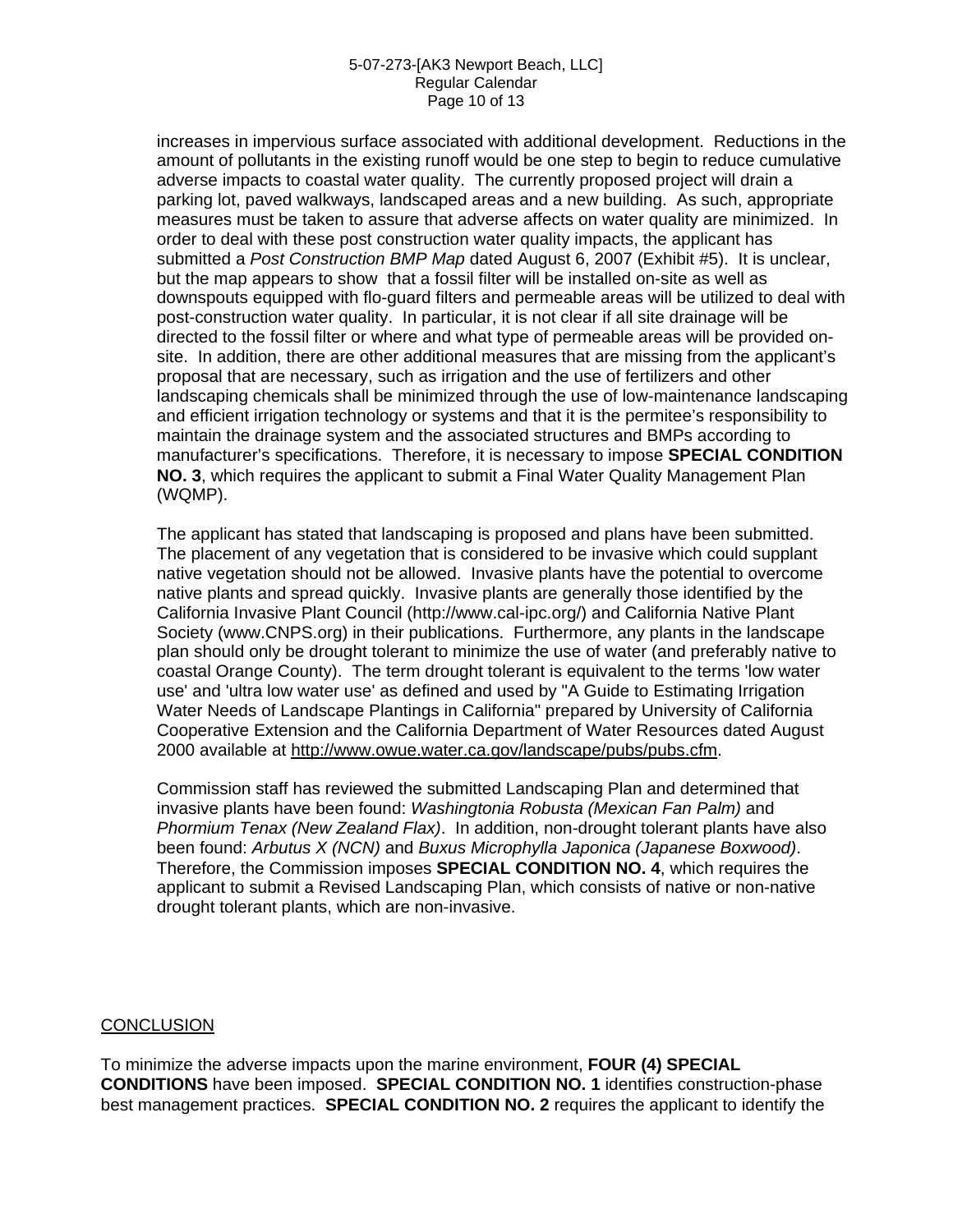### 5-07-273-[AK3 Newport Beach, LLC] Regular Calendar Page 10 of 13

increases in impervious surface associated with additional development. Reductions in the amount of pollutants in the existing runoff would be one step to begin to reduce cumulative adverse impacts to coastal water quality. The currently proposed project will drain a parking lot, paved walkways, landscaped areas and a new building. As such, appropriate measures must be taken to assure that adverse affects on water quality are minimized. In order to deal with these post construction water quality impacts, the applicant has submitted a *Post Construction BMP Map* dated August 6, 2007 (Exhibit #5). It is unclear, but the map appears to show that a fossil filter will be installed on-site as well as downspouts equipped with flo-guard filters and permeable areas will be utilized to deal with post-construction water quality. In particular, it is not clear if all site drainage will be directed to the fossil filter or where and what type of permeable areas will be provided onsite. In addition, there are other additional measures that are missing from the applicant's proposal that are necessary, such as irrigation and the use of fertilizers and other landscaping chemicals shall be minimized through the use of low-maintenance landscaping and efficient irrigation technology or systems and that it is the permitee's responsibility to maintain the drainage system and the associated structures and BMPs according to manufacturer's specifications. Therefore, it is necessary to impose **SPECIAL CONDITION NO. 3**, which requires the applicant to submit a Final Water Quality Management Plan (WQMP).

The applicant has stated that landscaping is proposed and plans have been submitted. The placement of any vegetation that is considered to be invasive which could supplant native vegetation should not be allowed. Invasive plants have the potential to overcome native plants and spread quickly. Invasive plants are generally those identified by the California Invasive Plant Council (http://www.cal-ipc.org/) and California Native Plant Society (www.CNPS.org) in their publications. Furthermore, any plants in the landscape plan should only be drought tolerant to minimize the use of water (and preferably native to coastal Orange County). The term drought tolerant is equivalent to the terms 'low water use' and 'ultra low water use' as defined and used by "A Guide to Estimating Irrigation Water Needs of Landscape Plantings in California" prepared by University of California Cooperative Extension and the California Department of Water Resources dated August 2000 available at<http://www.owue.water.ca.gov/landscape/pubs/pubs.cfm>.

Commission staff has reviewed the submitted Landscaping Plan and determined that invasive plants have been found: *Washingtonia Robusta (Mexican Fan Palm)* and *Phormium Tenax (New Zealand Flax)*. In addition, non-drought tolerant plants have also been found: *Arbutus X (NCN)* and *Buxus Microphylla Japonica (Japanese Boxwood)*. Therefore, the Commission imposes **SPECIAL CONDITION NO. 4**, which requires the applicant to submit a Revised Landscaping Plan, which consists of native or non-native drought tolerant plants, which are non-invasive.

### **CONCLUSION**

To minimize the adverse impacts upon the marine environment, **FOUR (4) SPECIAL CONDITIONS** have been imposed. **SPECIAL CONDITION NO. 1** identifies construction-phase best management practices. **SPECIAL CONDITION NO. 2** requires the applicant to identify the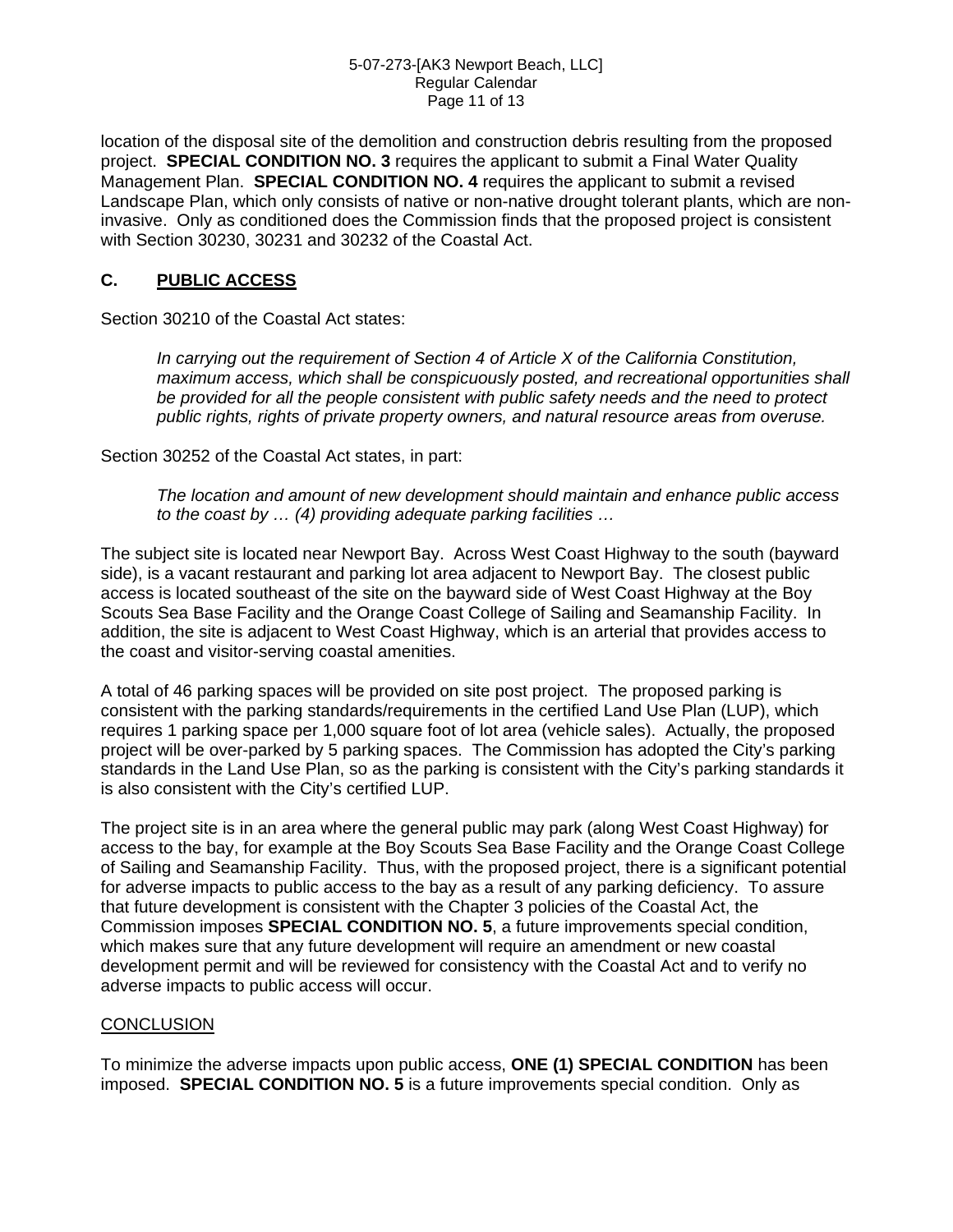### 5-07-273-[AK3 Newport Beach, LLC] Regular Calendar Page 11 of 13

location of the disposal site of the demolition and construction debris resulting from the proposed project. **SPECIAL CONDITION NO. 3** requires the applicant to submit a Final Water Quality Management Plan. **SPECIAL CONDITION NO. 4** requires the applicant to submit a revised Landscape Plan, which only consists of native or non-native drought tolerant plants, which are noninvasive. Only as conditioned does the Commission finds that the proposed project is consistent with Section 30230, 30231 and 30232 of the Coastal Act.

## **C. PUBLIC ACCESS**

Section 30210 of the Coastal Act states:

*In carrying out the requirement of Section 4 of Article X of the California Constitution, maximum access, which shall be conspicuously posted, and recreational opportunities shall be provided for all the people consistent with public safety needs and the need to protect public rights, rights of private property owners, and natural resource areas from overuse.* 

Section 30252 of the Coastal Act states, in part:

*The location and amount of new development should maintain and enhance public access to the coast by … (4) providing adequate parking facilities …* 

The subject site is located near Newport Bay. Across West Coast Highway to the south (bayward side), is a vacant restaurant and parking lot area adjacent to Newport Bay. The closest public access is located southeast of the site on the bayward side of West Coast Highway at the Boy Scouts Sea Base Facility and the Orange Coast College of Sailing and Seamanship Facility. In addition, the site is adjacent to West Coast Highway, which is an arterial that provides access to the coast and visitor-serving coastal amenities.

A total of 46 parking spaces will be provided on site post project. The proposed parking is consistent with the parking standards/requirements in the certified Land Use Plan (LUP), which requires 1 parking space per 1,000 square foot of lot area (vehicle sales). Actually, the proposed project will be over-parked by 5 parking spaces. The Commission has adopted the City's parking standards in the Land Use Plan, so as the parking is consistent with the City's parking standards it is also consistent with the City's certified LUP.

The project site is in an area where the general public may park (along West Coast Highway) for access to the bay, for example at the Boy Scouts Sea Base Facility and the Orange Coast College of Sailing and Seamanship Facility. Thus, with the proposed project, there is a significant potential for adverse impacts to public access to the bay as a result of any parking deficiency. To assure that future development is consistent with the Chapter 3 policies of the Coastal Act, the Commission imposes **SPECIAL CONDITION NO. 5**, a future improvements special condition, which makes sure that any future development will require an amendment or new coastal development permit and will be reviewed for consistency with the Coastal Act and to verify no adverse impacts to public access will occur.

## **CONCLUSION**

To minimize the adverse impacts upon public access, **ONE (1) SPECIAL CONDITION** has been imposed. **SPECIAL CONDITION NO. 5** is a future improvements special condition. Only as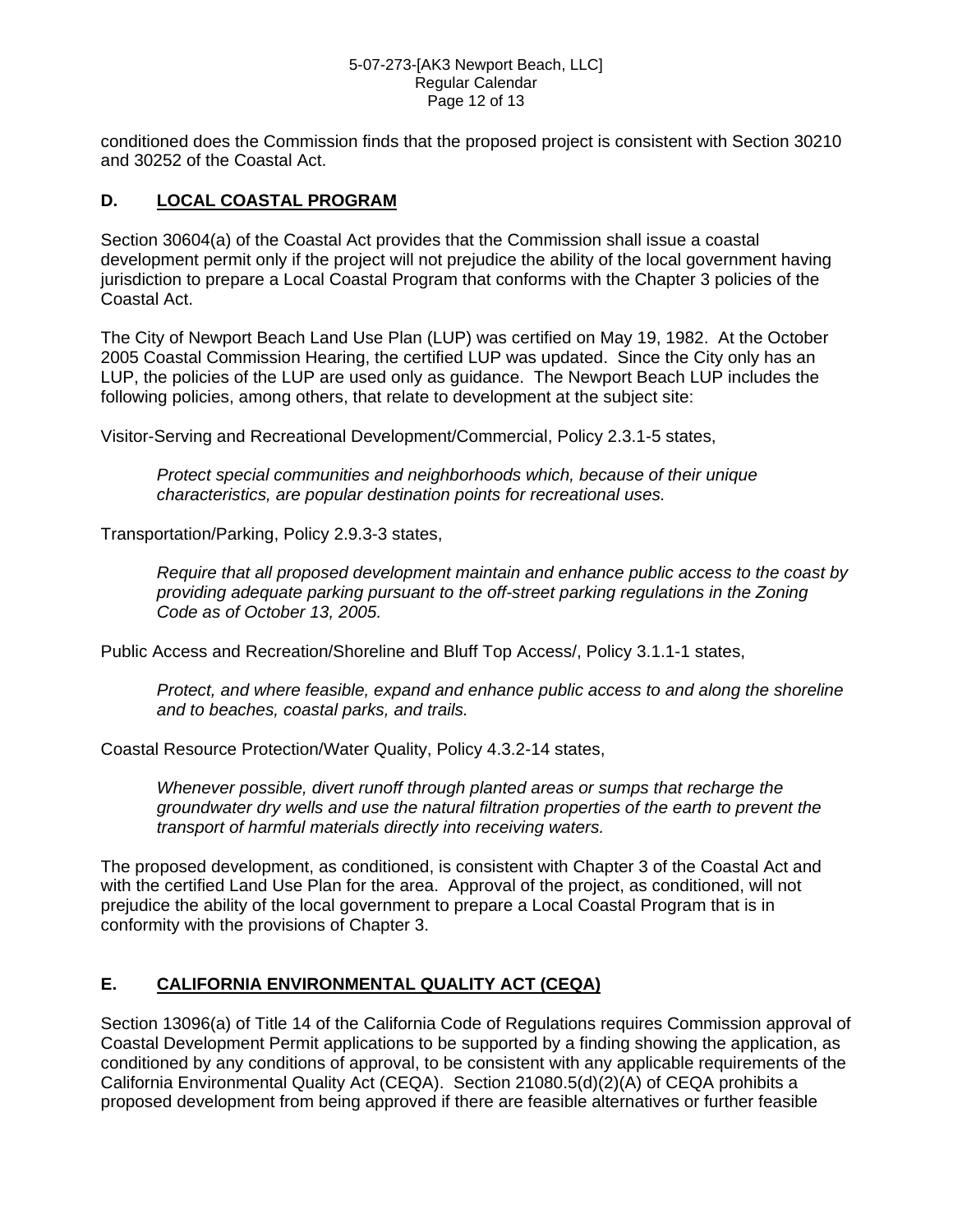### 5-07-273-[AK3 Newport Beach, LLC] Regular Calendar Page 12 of 13

conditioned does the Commission finds that the proposed project is consistent with Section 30210 and 30252 of the Coastal Act.

## **D. LOCAL COASTAL PROGRAM**

Section 30604(a) of the Coastal Act provides that the Commission shall issue a coastal development permit only if the project will not prejudice the ability of the local government having jurisdiction to prepare a Local Coastal Program that conforms with the Chapter 3 policies of the Coastal Act.

The City of Newport Beach Land Use Plan (LUP) was certified on May 19, 1982. At the October 2005 Coastal Commission Hearing, the certified LUP was updated. Since the City only has an LUP, the policies of the LUP are used only as guidance. The Newport Beach LUP includes the following policies, among others, that relate to development at the subject site:

Visitor-Serving and Recreational Development/Commercial, Policy 2.3.1-5 states,

*Protect special communities and neighborhoods which, because of their unique characteristics, are popular destination points for recreational uses.*

Transportation/Parking, Policy 2.9.3-3 states,

*Require that all proposed development maintain and enhance public access to the coast by providing adequate parking pursuant to the off-street parking regulations in the Zoning Code as of October 13, 2005.* 

Public Access and Recreation/Shoreline and Bluff Top Access/, Policy 3.1.1-1 states,

*Protect, and where feasible, expand and enhance public access to and along the shoreline and to beaches, coastal parks, and trails.*

Coastal Resource Protection/Water Quality, Policy 4.3.2-14 states,

*Whenever possible, divert runoff through planted areas or sumps that recharge the groundwater dry wells and use the natural filtration properties of the earth to prevent the transport of harmful materials directly into receiving waters.* 

The proposed development, as conditioned, is consistent with Chapter 3 of the Coastal Act and with the certified Land Use Plan for the area. Approval of the project, as conditioned, will not prejudice the ability of the local government to prepare a Local Coastal Program that is in conformity with the provisions of Chapter 3.

## **E. CALIFORNIA ENVIRONMENTAL QUALITY ACT (CEQA)**

Section 13096(a) of Title 14 of the California Code of Regulations requires Commission approval of Coastal Development Permit applications to be supported by a finding showing the application, as conditioned by any conditions of approval, to be consistent with any applicable requirements of the California Environmental Quality Act (CEQA). Section 21080.5(d)(2)(A) of CEQA prohibits a proposed development from being approved if there are feasible alternatives or further feasible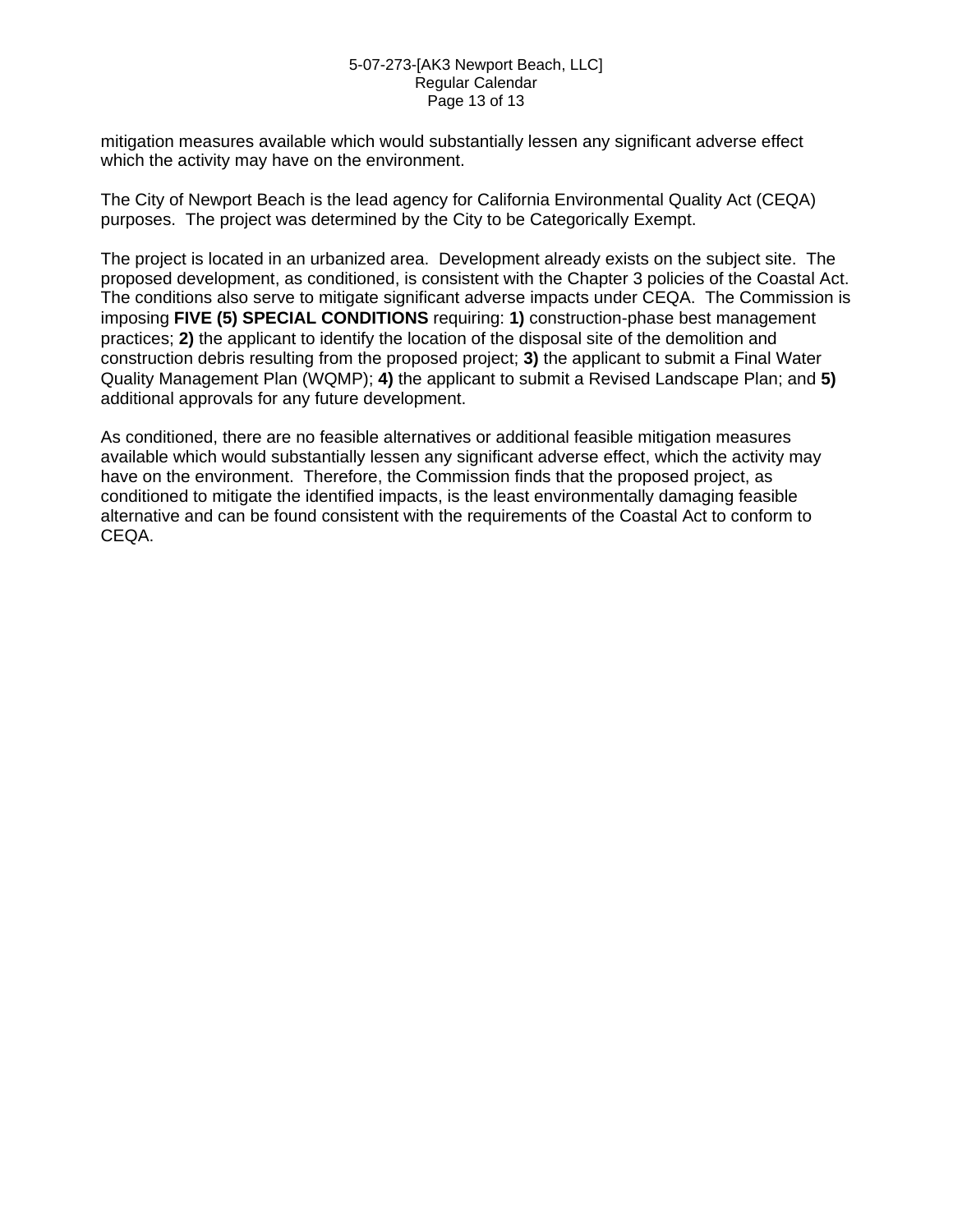### 5-07-273-[AK3 Newport Beach, LLC] Regular Calendar Page 13 of 13

mitigation measures available which would substantially lessen any significant adverse effect which the activity may have on the environment.

The City of Newport Beach is the lead agency for California Environmental Quality Act (CEQA) purposes. The project was determined by the City to be Categorically Exempt.

The project is located in an urbanized area. Development already exists on the subject site. The proposed development, as conditioned, is consistent with the Chapter 3 policies of the Coastal Act. The conditions also serve to mitigate significant adverse impacts under CEQA. The Commission is imposing **FIVE (5) SPECIAL CONDITIONS** requiring: **1)** construction-phase best management practices; **2)** the applicant to identify the location of the disposal site of the demolition and construction debris resulting from the proposed project; **3)** the applicant to submit a Final Water Quality Management Plan (WQMP); **4)** the applicant to submit a Revised Landscape Plan; and **5)** additional approvals for any future development.

As conditioned, there are no feasible alternatives or additional feasible mitigation measures available which would substantially lessen any significant adverse effect, which the activity may have on the environment. Therefore, the Commission finds that the proposed project, as conditioned to mitigate the identified impacts, is the least environmentally damaging feasible alternative and can be found consistent with the requirements of the Coastal Act to conform to CEQA.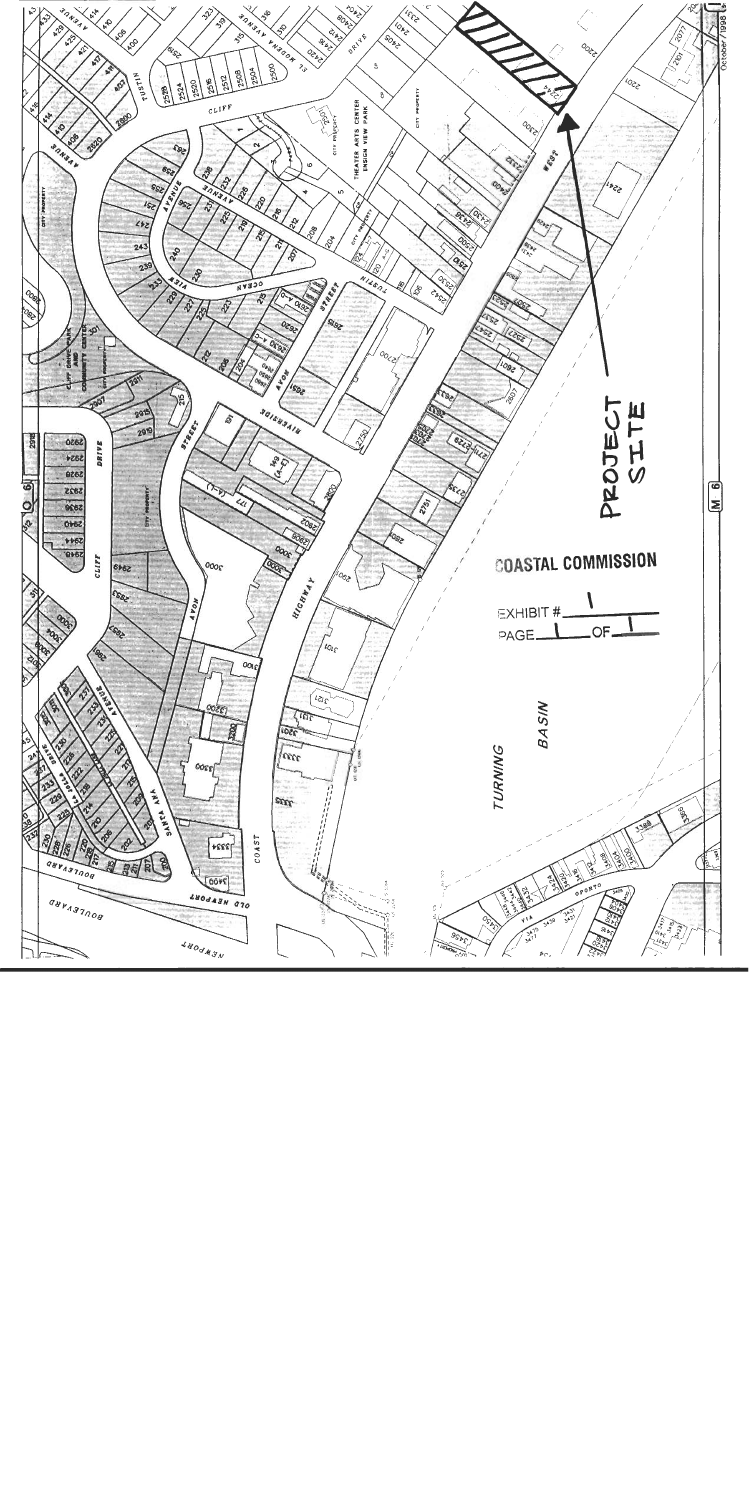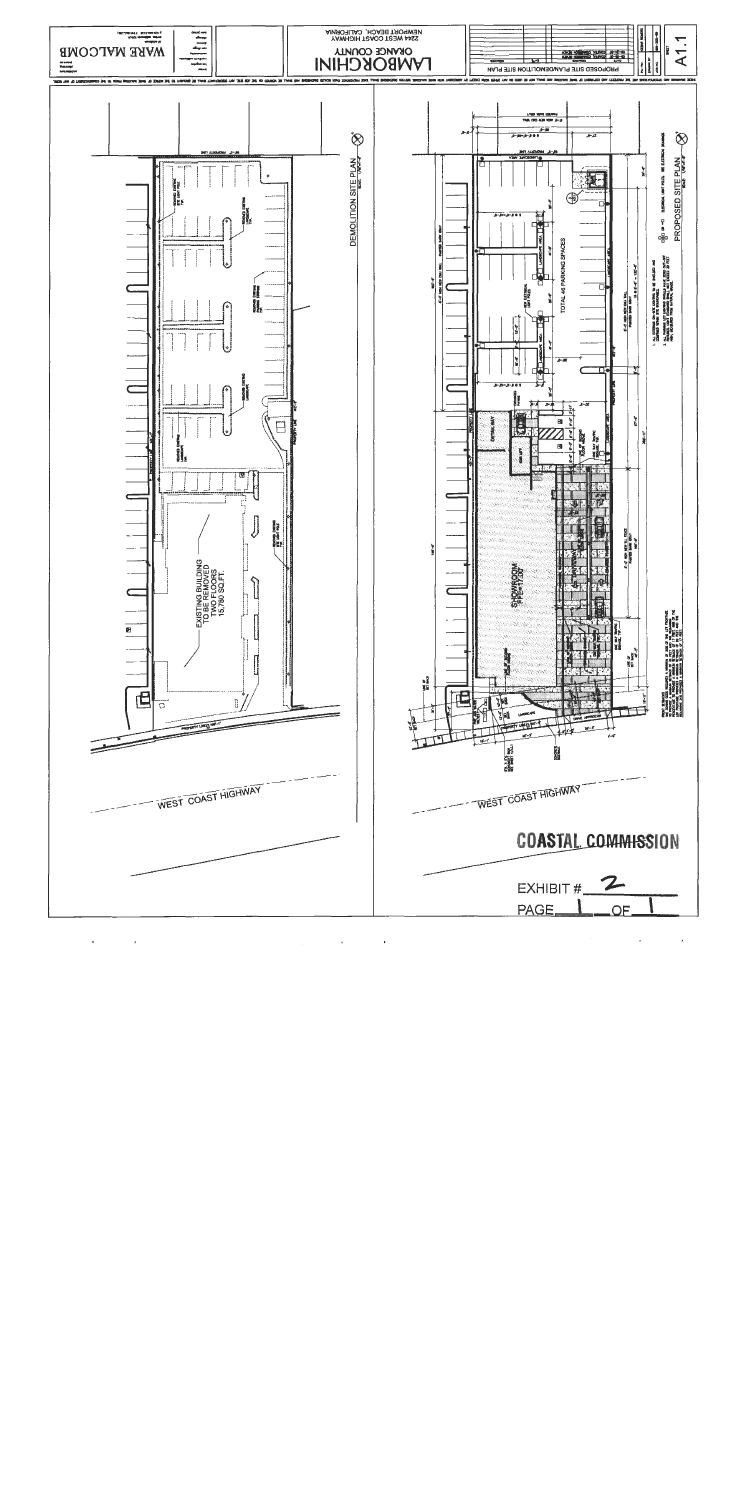

 $\epsilon$  $\lambda$  $\blacksquare$ 

 $\cdot$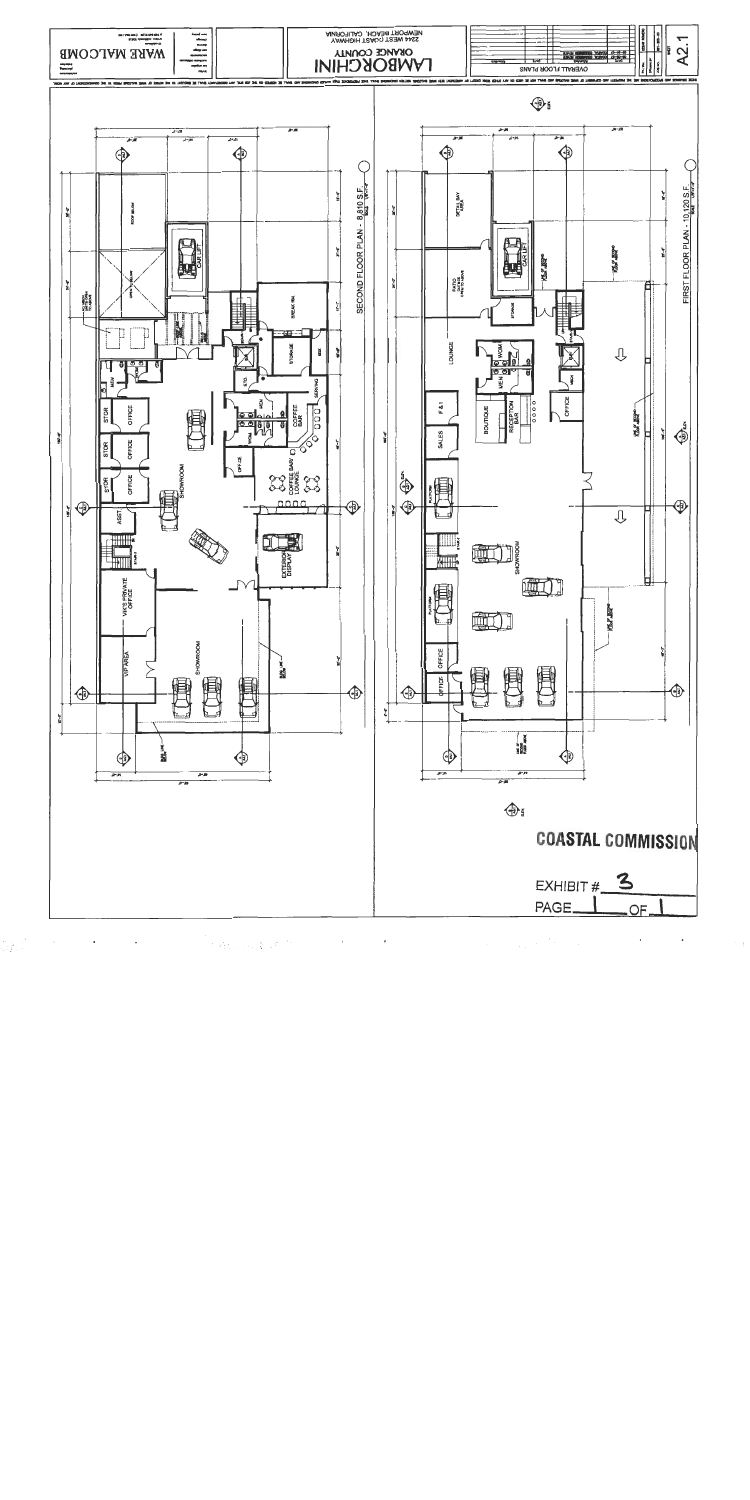![](_page_15_Figure_0.jpeg)

大将长江, 第18-75  $\sim$ 

 $\cdot$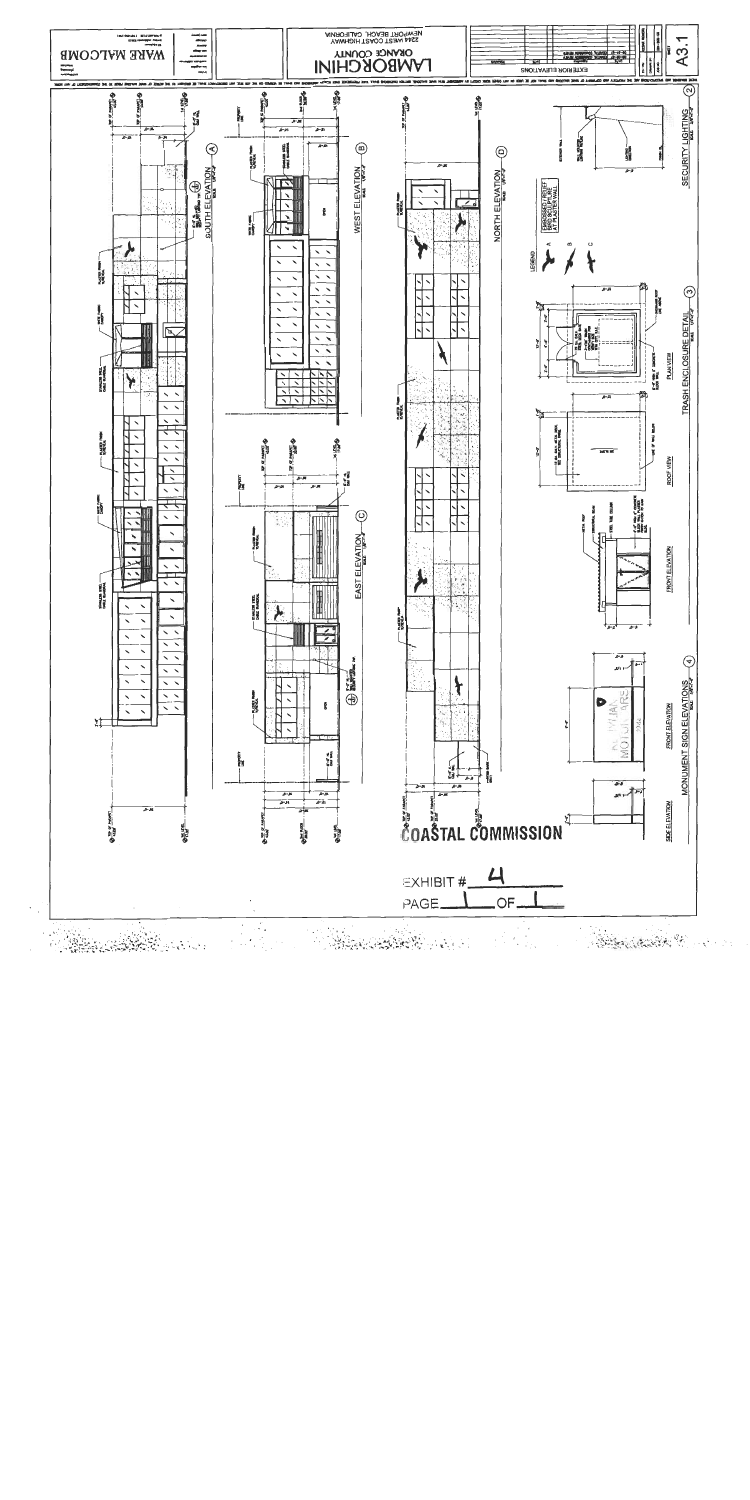![](_page_16_Figure_0.jpeg)